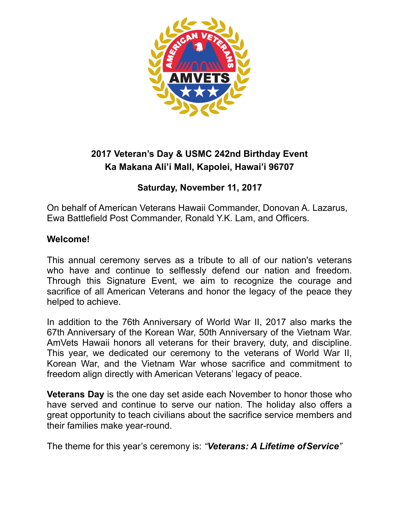

# **2017 Veteran's Day & USMC 242nd Birthday Event Ka Makana Ali'i Mall, Kapolei, Hawai'i 96707**

# **Saturday, November 11, 2017**

On behalf of American Veterans Hawaii Commander, Donovan A. Lazarus, Ewa Battlefield Post Commander, Ronald Y.K. Lam, and Officers.

## **Welcome!**

This annual ceremony serves as a tribute to all of our nation's veterans who have and continue to selflessly defend our nation and freedom. Through this Signature Event, we aim to recognize the courage and sacrifice of all American Veterans and honor the legacy of the peace they helped to achieve.

In addition to the 76th Anniversary of World War II, 2017 also marks the 67th Anniversary of the Korean War, 50th Anniversary of the Vietnam War. AmVets Hawaii honors all veterans for their bravery, duty, and discipline. This year, we dedicated our ceremony to the veterans of World War II, Korean War, and the Vietnam War whose sacrifice and commitment to freedom align directly with American Veterans' legacy of peace.

**Veterans Day** is the one day set aside each November to honor those who have served and continue to serve our nation. The holiday also offers a great opportunity to teach civilians about the sacrifice service members and their families make year-round.

The theme for this year's ceremony is: *"Veterans: A Lifetime ofService"*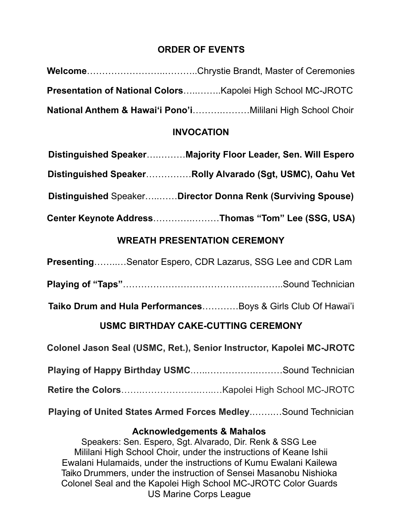#### **ORDER OF EVENTS**

#### **INVOCATION**

| Distinguished SpeakerMajority Floor Leader, Sen. Will Espero |
|--------------------------------------------------------------|
| Distinguished SpeakerRolly Alvarado (Sgt, USMC), Oahu Vet    |
| Distinguished SpeakerDirector Donna Renk (Surviving Spouse)  |
| Center Keynote AddressThomas "Tom" Lee (SSG, USA)            |

#### **WREATH PRESENTATION CEREMONY**

| <b>PresentingSenator Espero, CDR Lazarus, SSG Lee and CDR Lam</b> |  |  |
|-------------------------------------------------------------------|--|--|
|-------------------------------------------------------------------|--|--|

**Playing of "Taps"**……………………………………………..Sound Technician

**Taiko Drum and Hula Performances**…………Boys & Girls Club Of Hawai'i

#### **USMC BIRTHDAY CAKE-CUTTING CEREMONY**

| Colonel Jason Seal (USMC, Ret.), Senior Instructor, Kapolei MC-JROTC |  |
|----------------------------------------------------------------------|--|
|                                                                      |  |
|                                                                      |  |

#### **Playing of United States Armed Forces Medley**.…….…Sound Technician

## **Acknowledgements & Mahalos**

Speakers: Sen. Espero, Sgt. Alvarado, Dir. Renk & SSG Lee Mililani High School Choir, under the instructions of Keane Ishii Ewalani Hulamaids, under the instructions of Kumu Ewalani Kailewa Taiko Drummers, under the instruction of Sensei Masanobu Nishioka Colonel Seal and the Kapolei High School MC-JROTC Color Guards US Marine Corps League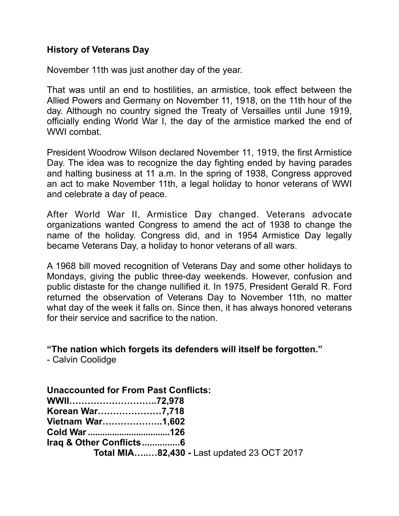#### **History of Veterans Day**

November 11th was just another day of the year.

That was until an end to hostilities, an armistice, took effect between the Allied Powers and Germany on November 11, 1918, on the 11th hour of the day. Although no country signed the Treaty of Versailles until June 1919, officially ending World War I, the day of the armistice marked the end of WWI combat.

President Woodrow Wilson declared November 11, 1919, the first Armistice Day. The idea was to recognize the day fighting ended by having parades and halting business at 11 a.m. In the spring of 1938, Congress approved an act to make November 11th, a legal holiday to honor veterans of WWI and celebrate a day of peace.

After World War II, Armistice Day changed. Veterans advocate organizations wanted Congress to amend the act of 1938 to change the name of the holiday. Congress did, and in 1954 Armistice Day legally became Veterans Day, a holiday to honor veterans of all wars.

A 1968 bill moved recognition of Veterans Day and some other holidays to Mondays, giving the public three-day weekends. However, confusion and public distaste for the change nullified it. In 1975, President Gerald R. Ford returned the observation of Veterans Day to November 11th, no matter what day of the week it falls on. Since then, it has always honored veterans for their service and sacrifice to the nation.

**"The nation which forgets its defenders will itself be forgotten."** 

- Calvin Coolidge

| <b>Unaccounted for From Past Conflicts:</b> |                                                   |
|---------------------------------------------|---------------------------------------------------|
| WWII72,978                                  |                                                   |
| Korean War7,718                             |                                                   |
| <b>Vietnam War1,602</b>                     |                                                   |
|                                             |                                                   |
| Iraq & Other Conflicts6                     |                                                   |
|                                             | <b>Total MIA82,430 - Last updated 23 OCT 2017</b> |